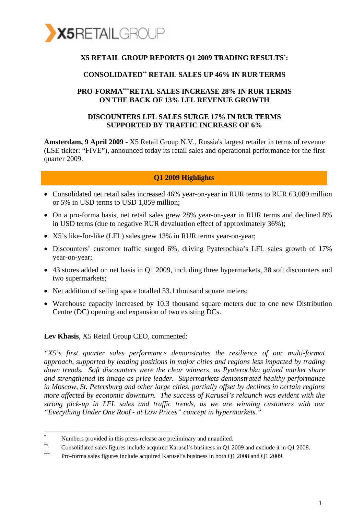

#### **X5 RETAIL GROUP REPORTS Q1 2009 TRADING RESULTS\* :**

#### **CONSOLIDATED\*\* RETAIL SALES UP 46% IN RUR TERMS**

#### **PRO-FORMA\*\*\*RETAL SALES INCREASE 28% IN RUR TERMS ON THE BACK OF 13% LFL REVENUE GROWTH**

#### **DISCOUNTERS LFL SALES SURGE 17% IN RUR TERMS SUPPORTED BY TRAFFIC INCREASE OF 6%**

**Amsterdam, 9 April 2009 -** X5 Retail Group N.V., Russia's largest retailer in terms of revenue (LSE ticker: "FIVE"), announced today its retail sales and operational performance for the first quarter 2009.

#### **Q1 2009 Highlights**

- Consolidated net retail sales increased 46% year-on-year in RUR terms to RUR 63,089 million or 5% in USD terms to USD 1,859 million;
- On a pro-forma basis, net retail sales grew 28% year-on-year in RUR terms and declined 8% in USD terms (due to negative RUR devaluation effect of approximately 36%);
- X5's like-for-like (LFL) sales grew 13% in RUR terms year-on-year;
- Discounters' customer traffic surged 6%, driving Pyaterochka's LFL sales growth of 17% year-on-year;
- 43 stores added on net basis in Q1 2009, including three hypermarkets, 38 soft discounters and two supermarkets;
- Net addition of selling space totalled 33.1 thousand square meters;
- Warehouse capacity increased by 10.3 thousand square meters due to one new Distribution Centre (DC) opening and expansion of two existing DCs.

**Lev Khasis**, X5 Retail Group CEO, commented:

\_\_\_\_\_\_\_\_\_\_\_\_\_\_\_\_\_\_\_\_\_\_\_\_\_\_\_\_\_\_\_\_\_\_\_

*"X5's first quarter sales performance demonstrates the resilience of our multi-format approach, supported by leading positions in major cities and regions less impacted by trading down trends. Soft discounters were the clear winners, as Pyaterochka gained market share and strengthened its image as price leader. Supermarkets demonstrated healthy performance in Moscow, St. Petersburg and other large cities, partially offset by declines in certain regions more affected by economic downturn. The success of Karusel's relaunch was evident with the strong pick-up in LFL sales and traffic trends, as we are winning customers with our "Everything Under One Roof - at Low Prices" concept in hypermarkets."* 

<sup>\*</sup> Numbers provided in this press-release are preliminary and unaudited.

<sup>\*\*</sup> Consolidated sales figures include acquired Karusel's business in Q1 2009 and exclude it in Q1 2008.

Pro-forma sales figures include acquired Karusel's business in both Q1 2008 and Q1 2009.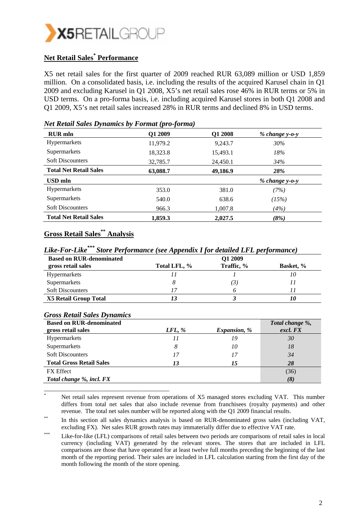

### **Net Retail Sales\* Performance**

X5 net retail sales for the first quarter of 2009 reached RUR 63,089 million or USD 1,859 million. On a consolidated basis, i.e. including the results of the acquired Karusel chain in Q1 2009 and excluding Karusel in Q1 2008, X5's net retail sales rose 46% in RUR terms or 5% in USD terms. On a pro-forma basis, i.e. including acquired Karusel stores in both Q1 2008 and Q1 2009, X5's net retail sales increased 28% in RUR terms and declined 8% in USD terms.

| <b>RUR</b> mln                | Q1 2009  | Q1 2008  | % change y-o-y   |  |
|-------------------------------|----------|----------|------------------|--|
| Hypermarkets                  | 11,979.2 | 9,243.7  | 30%              |  |
| Supermarkets                  | 18,323.8 | 15,493.1 | 18%              |  |
| <b>Soft Discounters</b>       | 32,785.7 | 24,450.1 | 34%              |  |
| <b>Total Net Retail Sales</b> | 63,088.7 | 49,186.9 | 28%              |  |
| <b>USD</b> mln                |          |          | $% change y-o-y$ |  |
| <b>Hypermarkets</b>           | 353.0    | 381.0    | (7%)             |  |
| Supermarkets                  | 540.0    | 638.6    | (15%)            |  |
| <b>Soft Discounters</b>       | 966.3    | 1,007.8  | (4%)             |  |
| <b>Total Net Retail Sales</b> | 1,859.3  | 2,027.5  | (8%)             |  |

#### *Net Retail Sales Dynamics by Format (pro-forma)*

### **Gross Retail Sales\*\* Analysis**

*Like-For-Like\*\*\* Store Performance (see Appendix I for detailed LFL performance)* 

| <b>Based on RUR-denominated</b> |              | O1 2009    |                  |
|---------------------------------|--------------|------------|------------------|
| gross retail sales              | Total LFL, % | Traffic, % | <b>Basket,</b> % |
| Hypermarkets                    |              |            |                  |
| Supermarkets                    |              | ΄3.        |                  |
| <b>Soft Discounters</b>         |              |            |                  |
| <b>X5 Retail Group Total</b>    |              |            |                  |

#### *Gross Retail Sales Dynamics*

\_\_\_\_\_\_\_\_\_\_\_\_\_\_\_\_\_\_\_\_\_\_\_\_\_\_\_\_\_\_\_\_\_\_\_\_\_\_\_\_\_

| <b>Based on RUR-denominated</b> |        |                     | Total change %, |
|---------------------------------|--------|---------------------|-----------------|
| gross retail sales              | LFL, % | <i>Expansion, %</i> | excl. FX        |
| <b>Hypermarkets</b>             |        | 19                  | 30              |
| Supermarkets                    | 8      | 10                  | 18              |
| <b>Soft Discounters</b>         |        | 17                  | 34              |
| <b>Total Gross Retail Sales</b> | 13     | 15                  | 28              |
| <b>FX</b> Effect                |        |                     | (36)            |
| Total change %, incl. FX        |        |                     | (8)             |

<sup>\*</sup> Net retail sales represent revenue from operations of X5 managed stores excluding VAT. This number differs from total net sales that also include revenue from franchisees (royalty payments) and other revenue. The total net sales number will be reported along with the Q1 2009 financial results.<br>In this section all sales dynamics analysis is based on RUR-denominated gross sales (including VAT,

excluding FX). Net sales RUR growth rates may immaterially differ due to effective VAT rate.

<sup>\*\*\*</sup> Like-for-like (LFL) comparisons of retail sales between two periods are comparisons of retail sales in local currency (including VAT) generated by the relevant stores. The stores that are included in LFL comparisons are those that have operated for at least twelve full months preceding the beginning of the last month of the reporting period. Their sales are included in LFL calculation starting from the first day of the month following the month of the store opening.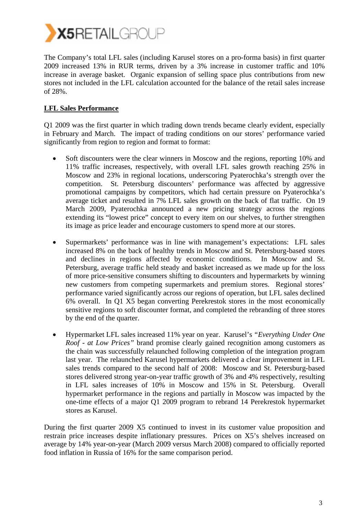

The Company's total LFL sales (including Karusel stores on a pro-forma basis) in first quarter 2009 increased 13% in RUR terms, driven by a 3% increase in customer traffic and 10% increase in average basket. Organic expansion of selling space plus contributions from new stores not included in the LFL calculation accounted for the balance of the retail sales increase of 28%.

#### **LFL Sales Performance**

Q1 2009 was the first quarter in which trading down trends became clearly evident, especially in February and March. The impact of trading conditions on our stores' performance varied significantly from region to region and format to format:

- Soft discounters were the clear winners in Moscow and the regions, reporting 10% and 11% traffic increases, respectively, with overall LFL sales growth reaching 25% in Moscow and 23% in regional locations, underscoring Pyaterochka's strength over the competition. St. Petersburg discounters' performance was affected by aggressive promotional campaigns by competitors, which had certain pressure on Pyaterochka's average ticket and resulted in 7% LFL sales growth on the back of flat traffic. On 19 March 2009, Pyaterochka announced a new pricing strategy across the regions extending its "lowest price" concept to every item on our shelves, to further strengthen its image as price leader and encourage customers to spend more at our stores.
- Supermarkets' performance was in line with management's expectations: LFL sales increased 8% on the back of healthy trends in Moscow and St. Petersburg-based stores and declines in regions affected by economic conditions. In Moscow and St. Petersburg, average traffic held steady and basket increased as we made up for the loss of more price-sensitive consumers shifting to discounters and hypermarkets by winning new customers from competing supermarkets and premium stores. Regional stores' performance varied significantly across our regions of operation, but LFL sales declined 6% overall. In Q1 X5 began converting Perekrestok stores in the most economically sensitive regions to soft discounter format, and completed the rebranding of three stores by the end of the quarter.
- Hypermarket LFL sales increased 11% year on year. Karusel's *"Everything Under One Roof - at Low Prices"* brand promise clearly gained recognition among customers as the chain was successfully relaunched following completion of the integration program last year. The relaunched Karusel hypermarkets delivered a clear improvement in LFL sales trends compared to the second half of 2008: Moscow and St. Petersburg-based stores delivered strong year-on-year traffic growth of 3% and 4% respectively, resulting in LFL sales increases of 10% in Moscow and 15% in St. Petersburg. Overall hypermarket performance in the regions and partially in Moscow was impacted by the one-time effects of a major Q1 2009 program to rebrand 14 Perekrestok hypermarket stores as Karusel.

During the first quarter 2009 X5 continued to invest in its customer value proposition and restrain price increases despite inflationary pressures. Prices on X5's shelves increased on average by 14% year-on-year (March 2009 versus March 2008) compared to officially reported food inflation in Russia of 16% for the same comparison period.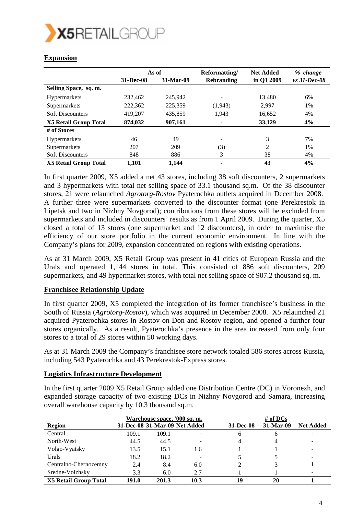

|                              | As of     |           | Reformatting/            | <b>Net Added</b> | $%$ change   |
|------------------------------|-----------|-----------|--------------------------|------------------|--------------|
|                              | 31-Dec-08 | 31-Mar-09 | <b>Rebranding</b>        | in Q1 2009       | vs 31-Dec-08 |
| Selling Space, sq. m.        |           |           |                          |                  |              |
| <b>Hypermarkets</b>          | 232,462   | 245.942   | $\overline{\phantom{a}}$ | 13,480           | 6%           |
| Supermarkets                 | 222,362   | 225,359   | (1, 943)                 | 2,997            | 1%           |
| <b>Soft Discounters</b>      | 419,207   | 435,859   | 1,943                    | 16,652           | 4%           |
| <b>X5 Retail Group Total</b> | 874,032   | 907,161   | ۰                        | 33,129           | 4%           |
| # of Stores                  |           |           |                          |                  |              |
| <b>Hypermarkets</b>          | 46        | 49        |                          | 3                | 7%           |
| Supermarkets                 | 207       | 209       | (3)                      | 2                | 1%           |
| <b>Soft Discounters</b>      | 848       | 886       | 3                        | 38               | 4%           |
| <b>X5 Retail Group Total</b> | 1,101     | 1,144     |                          | 43               | 4%           |

### **Expansion**

In first quarter 2009, X5 added a net 43 stores, including 38 soft discounters, 2 supermarkets and 3 hypermarkets with total net selling space of 33.1 thousand sq.m. Of the 38 discounter stores, 21 were relaunched *Agrotorg-Rostov* Pyaterochka outlets acquired in December 2008. A further three were supermarkets converted to the discounter format (one Perekrestok in Lipetsk and two in Nizhny Novgorod); contributions from these stores will be excluded from supermarkets and included in discounters' results as from 1 April 2009. During the quarter, X5 closed a total of 13 stores (one supermarket and 12 discounters), in order to maximise the efficiency of our store portfolio in the current economic environment. In line with the Company's plans for 2009, expansion concentrated on regions with existing operations.

As at 31 March 2009, X5 Retail Group was present in 41 cities of European Russia and the Urals and operated 1,144 stores in total. This consisted of 886 soft discounters, 209 supermarkets, and 49 hypermarket stores, with total net selling space of 907.2 thousand sq. m.

#### **Franchisee Relationship Update**

In first quarter 2009, X5 completed the integration of its former franchisee's business in the South of Russia (*Agrotorg-Rostov*), which was acquired in December 2008. X5 relaunched 21 acquired Pyaterochka stores in Rostov-on-Don and Rostov region, and opened a further four stores organically. As a result, Pyaterochka's presence in the area increased from only four stores to a total of 29 stores within 50 working days.

As at 31 March 2009 the Company's franchisee store network totaled 586 stores across Russia, including 543 Pyaterochka and 43 Perekrestok-Express stores.

#### **Logistics Infrastructure Development**

In the first quarter 2009 X5 Retail Group added one Distribution Centre (DC) in Voronezh, and expanded storage capacity of two existing DCs in Nizhny Novgorod and Samara, increasing overall warehouse capacity by 10.3 thousand sq.m.

|                              | Warehouse space, '000 sq. m. |       |                               | # of $DCs$ |           |                  |
|------------------------------|------------------------------|-------|-------------------------------|------------|-----------|------------------|
| <b>Region</b>                |                              |       | 31-Dec-08 31-Mar-09 Net Added | 31-Dec-08  | 31-Mar-09 | <b>Net Added</b> |
| Central                      | 109.1                        | 109.1 |                               | 6          | 6         |                  |
| North-West                   | 44.5                         | 44.5  |                               |            |           |                  |
| Volgo-Vyatsky                | 13.5                         | 15.1  | 1.6                           |            |           |                  |
| Urals                        | 18.2                         | 18.2  |                               |            |           |                  |
| Centralno-Chernozemny        | 2.4                          | 8.4   | 6.0                           |            |           |                  |
| Sredne-Volzhsky              | 3.3                          | 6.0   | 2.7                           |            |           |                  |
| <b>X5 Retail Group Total</b> | 191.0                        | 201.3 | 10.3                          | 19         | 20        |                  |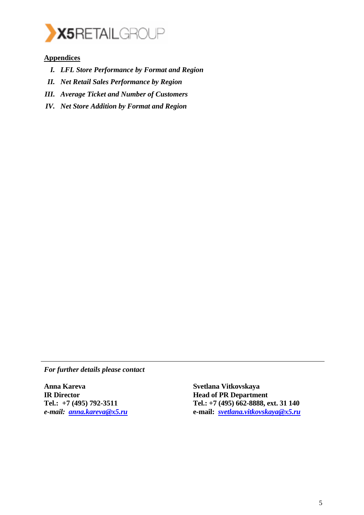

#### **Appendices**

- *I. LFL Store Performance by Format and Region*
- *II. Net Retail Sales Performance by Region*
- *III. Average Ticket and Number of Customers*
- *IV. Net Store Addition by Format and Region*

*For further details please contact* 

**Anna Kareva IR Director Tel.: +7 (495) 792-3511**  *e-mail: anna.kareva@x5.ru*

**Svetlana Vitkovskaya Head of PR Department Tel.: +7 (495) 662-8888, ext. 31 140 e-mail:** *svetlana.vitkovskaya@x5.ru*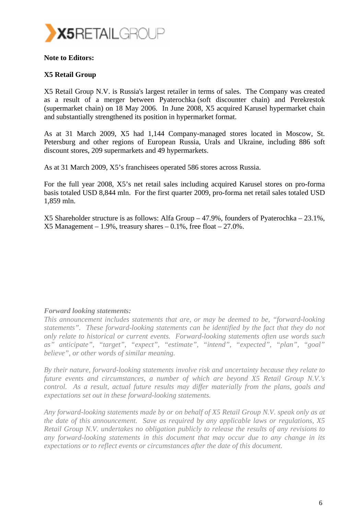

#### **Note to Editors:**

#### **X5 Retail Group**

X5 Retail Group N.V. is Russia's largest retailer in terms of sales. The Company was created as a result of a merger between Pyaterochka (soft discounter chain) and Perekrestok (supermarket chain) on 18 May 2006. In June 2008, X5 acquired Karusel hypermarket chain and substantially strengthened its position in hypermarket format.

As at 31 March 2009, X5 had 1,144 Company-managed stores located in Moscow, St. Petersburg and other regions of European Russia, Urals and Ukraine, including 886 soft discount stores, 209 supermarkets and 49 hypermarkets.

As at 31 March 2009, X5's franchisees operated 586 stores across Russia.

For the full year 2008, X5's net retail sales including acquired Karusel stores on pro-forma basis totaled USD 8,844 mln. For the first quarter 2009, pro-forma net retail sales totaled USD 1,859 mln.

X5 Shareholder structure is as follows: Alfa Group – 47.9%, founders of Pyaterochka – 23.1%,  $X5$  Management – 1.9%, treasury shares – 0.1%, free float – 27.0%.

#### *Forward looking statements:*

*This announcement includes statements that are, or may be deemed to be, "forward-looking statements". These forward-looking statements can be identified by the fact that they do not only relate to historical or current events. Forward-looking statements often use words such as" anticipate", "target", "expect", "estimate", "intend", "expected", "plan", "goal" believe", or other words of similar meaning.* 

*By their nature, forward-looking statements involve risk and uncertainty because they relate to future events and circumstances, a number of which are beyond X5 Retail Group N.V.'s control. As a result, actual future results may differ materially from the plans, goals and expectations set out in these forward-looking statements.* 

*Any forward-looking statements made by or on behalf of X5 Retail Group N.V. speak only as at the date of this announcement. Save as required by any applicable laws or regulations, X5 Retail Group N.V. undertakes no obligation publicly to release the results of any revisions to any forward-looking statements in this document that may occur due to any change in its expectations or to reflect events or circumstances after the date of this document.*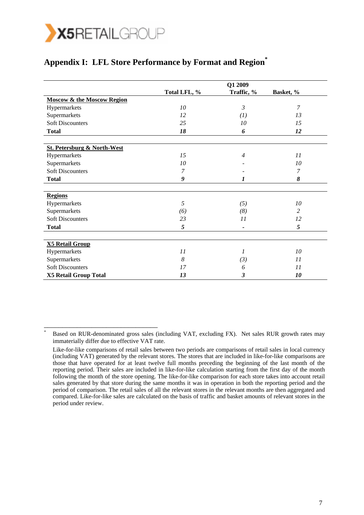

\_\_\_\_\_\_\_\_\_\_\_\_\_\_\_\_\_\_\_\_\_\_\_\_\_\_\_\_\_\_\_

\*

## **Appendix I: LFL Store Performance by Format and Region\***

|                                        | Q1 2009         |                |                |  |  |
|----------------------------------------|-----------------|----------------|----------------|--|--|
|                                        | Total LFL, %    | Traffic, %     | Basket, %      |  |  |
| <b>Moscow &amp; the Moscow Region</b>  |                 |                |                |  |  |
| Hypermarkets                           | 10 <sup>2</sup> | $\mathfrak{Z}$ | $\overline{7}$ |  |  |
| Supermarkets                           | 12              | (I)            | 13             |  |  |
| <b>Soft Discounters</b>                | 25              | 10             | 15             |  |  |
| <b>Total</b>                           | 18              | 6              | 12             |  |  |
|                                        |                 |                |                |  |  |
| <b>St. Petersburg &amp; North-West</b> |                 |                |                |  |  |
| Hypermarkets                           | 15              | $\overline{4}$ | 11             |  |  |
| Supermarkets                           | 10              |                | 10             |  |  |
| <b>Soft Discounters</b>                | 7               |                | 7              |  |  |
| <b>Total</b>                           | 9               | 1              | 8              |  |  |
|                                        |                 |                |                |  |  |
| <b>Regions</b>                         |                 |                |                |  |  |
| Hypermarkets                           | 5               | (5)            | 10             |  |  |
| Supermarkets                           | (6)             | (8)            | 2              |  |  |
| <b>Soft Discounters</b>                | 23              | 11             | 12             |  |  |
| <b>Total</b>                           | 5               | $\overline{a}$ | 5              |  |  |
|                                        |                 |                |                |  |  |
| <b>X5 Retail Group</b>                 |                 |                |                |  |  |
| Hypermarkets                           | 11              | 1              | 10             |  |  |
| Supermarkets                           | 8               | (3)            | 11             |  |  |
| <b>Soft Discounters</b>                | 17              | 6              | 11             |  |  |
| <b>X5 Retail Group Total</b>           | 13              | 3              | 10             |  |  |

Based on RUR-denominated gross sales (including VAT, excluding FX). Net sales RUR growth rates may immaterially differ due to effective VAT rate.

Like-for-like comparisons of retail sales between two periods are comparisons of retail sales in local currency (including VAT) generated by the relevant stores. The stores that are included in like-for-like comparisons are those that have operated for at least twelve full months preceding the beginning of the last month of the reporting period. Their sales are included in like-for-like calculation starting from the first day of the month following the month of the store opening. The like-for-like comparison for each store takes into account retail sales generated by that store during the same months it was in operation in both the reporting period and the period of comparison. The retail sales of all the relevant stores in the relevant months are then aggregated and compared. Like-for-like sales are calculated on the basis of traffic and basket amounts of relevant stores in the period under review.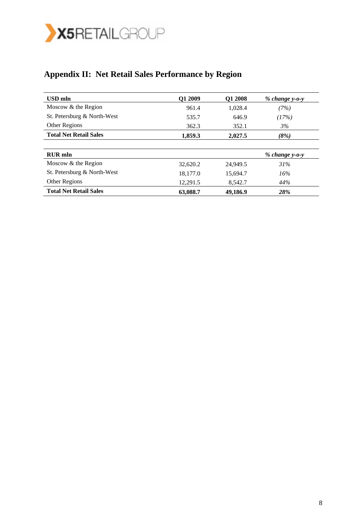

# **Appendix II: Net Retail Sales Performance by Region**

| <b>USD</b> mln                | O1 2009  | Q1 2008  | $% change y-o-y$ |
|-------------------------------|----------|----------|------------------|
| Moscow & the Region           | 961.4    | 1.028.4  | (7%)             |
| St. Petersburg & North-West   | 535.7    | 646.9    | (17%)            |
| Other Regions                 | 362.3    | 352.1    | 3%               |
| <b>Total Net Retail Sales</b> | 1,859.3  | 2.027.5  | (8%)             |
|                               |          |          |                  |
| <b>RUR</b> mln                |          |          | $% change y-o-y$ |
| Moscow $&$ the Region         | 32,620.2 | 24,949.5 | 31%              |
| St. Petersburg & North-West   | 18,177.0 | 15,694.7 | 16%              |
| Other Regions                 | 12,291.5 | 8,542.7  | 44%              |
| <b>Total Net Retail Sales</b> | 63,088.7 | 49,186.9 | 28%              |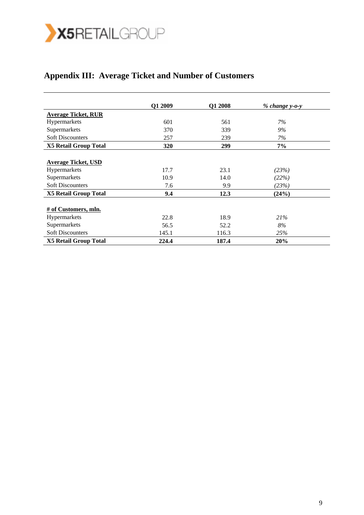

# **Appendix III: Average Ticket and Number of Customers**

|                              | Q1 2009 | Q1 2008 | $% change y-o-y$ |
|------------------------------|---------|---------|------------------|
| <b>Average Ticket, RUR</b>   |         |         |                  |
| Hypermarkets                 | 601     | 561     | 7%               |
| Supermarkets                 | 370     | 339     | 9%               |
| <b>Soft Discounters</b>      | 257     | 239     | 7%               |
| <b>X5 Retail Group Total</b> | 320     | 299     | 7%               |
|                              |         |         |                  |
| <b>Average Ticket, USD</b>   |         |         |                  |
| Hypermarkets                 | 17.7    | 23.1    | (23%)            |
| Supermarkets                 | 10.9    | 14.0    | (22%)            |
| <b>Soft Discounters</b>      | 7.6     | 9.9     | (23%)            |
| <b>X5 Retail Group Total</b> | 9.4     | 12.3    | (24%)            |
|                              |         |         |                  |
| # of Customers, mln.         |         |         |                  |
| Hypermarkets                 | 22.8    | 18.9    | 21%              |
| Supermarkets                 | 56.5    | 52.2    | 8%               |
| <b>Soft Discounters</b>      | 145.1   | 116.3   | 25%              |
| X5 Retail Group Total        | 224.4   | 187.4   | 20%              |